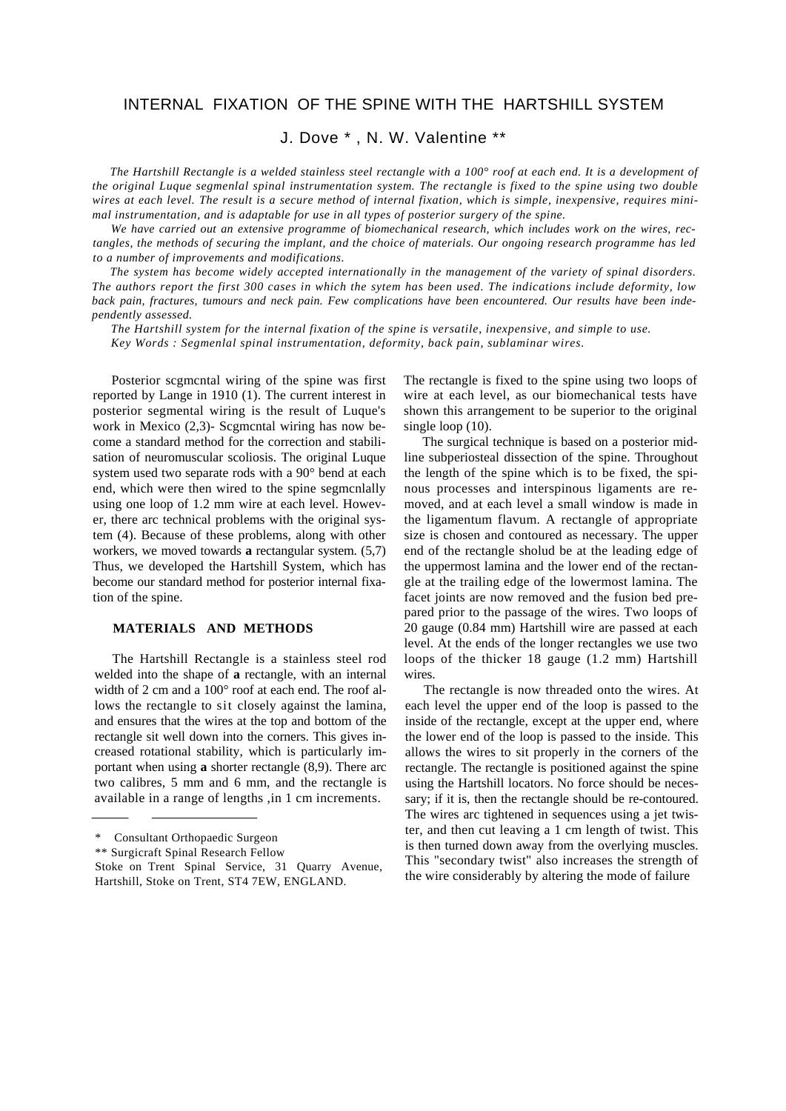# INTERNAL FIXATION OF THE SPINE WITH THE HARTSHILL SYSTEM

# J. Dove \* , N. W. Valentine \*\*

*The Hartshill Rectangle is a welded stainless steel rectangle with a 100° roof at each end. It is a development of the original Luque segmenlal spinal instrumentation system. The rectangle is fixed to the spine using two double wires at each level. The result is a secure method of internal fixation, which is simple, inexpensive, requires minimal instrumentation, and is adaptable for use in all types of posterior surgery of the spine.*

*We have carried out an extensive programme of biomechanical research, which includes work on the wires, rectangles, the methods of securing the implant, and the choice of materials. Our ongoing research programme has led to a number of improvements and modifications.*

*The system has become widely accepted internationally in the management of the variety of spinal disorders. The authors report the first 300 cases in which the sytem has been used. The indications include deformity, low back pain, fractures, tumours and neck pain. Few complications have been encountered. Our results have been independently assessed.*

*The Hartshill system for the internal fixation of the spine is versatile, inexpensive, and simple to use. Key Words : Segmenlal spinal instrumentation, deformity, back pain, sublaminar wires.*

Posterior scgmcntal wiring of the spine was first reported by Lange in 1910 (1). The current interest in posterior segmental wiring is the result of Luque's work in Mexico (2,3)- Scgmental wiring has now become a standard method for the correction and stabilisation of neuromuscular scoliosis. The original Luque system used two separate rods with a 90° bend at each end, which were then wired to the spine segmcnlally using one loop of 1.2 mm wire at each level. However, there arc technical problems with the original system (4). Because of these problems, along with other workers, we moved towards **a** rectangular system. (5,7) Thus, we developed the Hartshill System, which has become our standard method for posterior internal fixation of the spine.

# **MATERIALS AND METHODS**

The Hartshill Rectangle is a stainless steel rod welded into the shape of **a** rectangle, with an internal width of 2 cm and a 100° roof at each end. The roof allows the rectangle to sit closely against the lamina, and ensures that the wires at the top and bottom of the rectangle sit well down into the corners. This gives increased rotational stability, which is particularly important when using **a** shorter rectangle (8,9). There arc two calibres, 5 mm and 6 mm, and the rectangle is available in a range of lengths ,in 1 cm increments.

The rectangle is fixed to the spine using two loops of wire at each level, as our biomechanical tests have shown this arrangement to be superior to the original single loop (10).

The surgical technique is based on a posterior midline subperiosteal dissection of the spine. Throughout the length of the spine which is to be fixed, the spinous processes and interspinous ligaments are removed, and at each level a small window is made in the ligamentum flavum. A rectangle of appropriate size is chosen and contoured as necessary. The upper end of the rectangle sholud be at the leading edge of the uppermost lamina and the lower end of the rectangle at the trailing edge of the lowermost lamina. The facet joints are now removed and the fusion bed prepared prior to the passage of the wires. Two loops of 20 gauge (0.84 mm) Hartshill wire are passed at each level. At the ends of the longer rectangles we use two loops of the thicker 18 gauge (1.2 mm) Hartshill wires.

The rectangle is now threaded onto the wires. At each level the upper end of the loop is passed to the inside of the rectangle, except at the upper end, where the lower end of the loop is passed to the inside. This allows the wires to sit properly in the corners of the rectangle. The rectangle is positioned against the spine using the Hartshill locators. No force should be necessary; if it is, then the rectangle should be re-contoured. The wires arc tightened in sequences using a jet twister, and then cut leaving a 1 cm length of twist. This is then turned down away from the overlying muscles. This "secondary twist" also increases the strength of the wire considerably by altering the mode of failure

<sup>\*</sup> Consultant Orthopaedic Surgeon

<sup>\*\*</sup> Surgicraft Spinal Research Fellow

Stoke on Trent Spinal Service, 31 Quarry Avenue, Hartshill, Stoke on Trent, ST4 7EW, ENGLAND.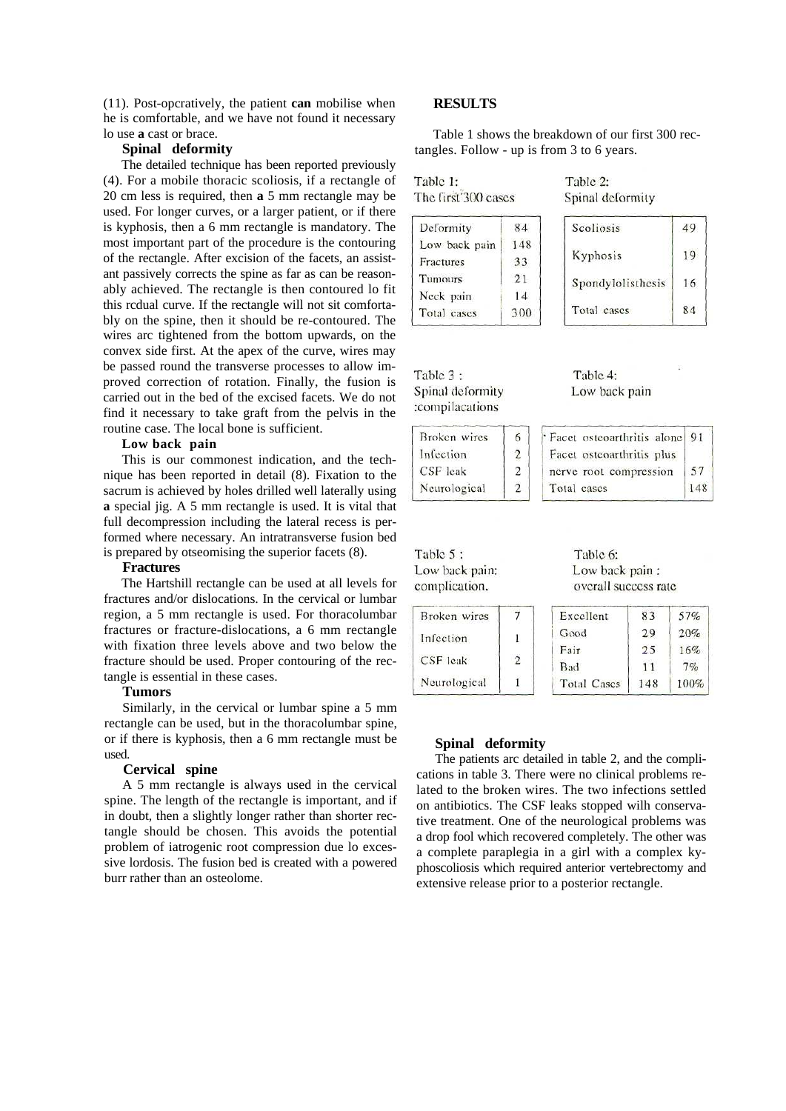(11). Post-opcratively, the patient **can** mobilise when he is comfortable, and we have not found it necessary lo use **a** cast or brace.

# **Spinal deformity**

The detailed technique has been reported previously (4). For a mobile thoracic scoliosis, if a rectangle of 20 cm less is required, then **a** 5 mm rectangle may be used. For longer curves, or a larger patient, or if there is kyphosis, then a 6 mm rectangle is mandatory. The most important part of the procedure is the contouring of the rectangle. After excision of the facets, an assistant passively corrects the spine as far as can be reasonably achieved. The rectangle is then contoured lo fit this rcdual curve. If the rectangle will not sit comfortably on the spine, then it should be re-contoured. The wires arc tightened from the bottom upwards, on the convex side first. At the apex of the curve, wires may be passed round the transverse processes to allow improved correction of rotation. Finally, the fusion is carried out in the bed of the excised facets. We do not find it necessary to take graft from the pelvis in the routine case. The local bone is sufficient.

### **Low back pain**

This is our commonest indication, and the technique has been reported in detail (8). Fixation to the sacrum is achieved by holes drilled well laterally using **a** special jig. A 5 mm rectangle is used. It is vital that full decompression including the lateral recess is performed where necessary. An intratransverse fusion bed is prepared by otseomising the superior facets (8).

#### **Fractures**

The Hartshill rectangle can be used at all levels for fractures and/or dislocations. In the cervical or lumbar region, a 5 mm rectangle is used. For thoracolumbar fractures or fracture-dislocations, a 6 mm rectangle with fixation three levels above and two below the fracture should be used. Proper contouring of the rectangle is essential in these cases.

# **Tumors**

Similarly, in the cervical or lumbar spine a 5 mm rectangle can be used, but in the thoracolumbar spine, or if there is kyphosis, then a 6 mm rectangle must be used.

### **Cervical spine**

A 5 mm rectangle is always used in the cervical spine. The length of the rectangle is important, and if in doubt, then a slightly longer rather than shorter rectangle should be chosen. This avoids the potential problem of iatrogenic root compression due lo excessive lordosis. The fusion bed is created with a powered burr rather than an osteolome.

# **RESULTS**

Table 1 shows the breakdown of our first 300 rectangles. Follow - up is from 3 to 6 years.

| Table 1:            |  |
|---------------------|--|
| The first 300 cases |  |

| Table 2: |                  |
|----------|------------------|
|          | Spinal deformity |

| Deformity     | 84  |
|---------------|-----|
| Low back pain | 148 |
| Fractures     | 33  |
| Tumours       | 21  |
| Neck pain     | 14  |
| Total cases   | 300 |

| Scoliosis         | 49 |
|-------------------|----|
| Kyphosis          | 19 |
| Spondylolisthesis | 16 |
| Total cases       | 84 |

| Table 3 :        |  |
|------------------|--|
| Spinal deformity |  |
| :compilacations  |  |

| Table 4: |               |  |
|----------|---------------|--|
|          | Low back pain |  |

| Broken wires | 6 | Facet osteoarthritis alone 91 |     |
|--------------|---|-------------------------------|-----|
| Infection    | 2 | Facet osteoarthritis plus     |     |
| $CSF$ leak   | 2 | nerve root compression        | 57  |
| Neurological | 2 | Total cases                   | 148 |

Table 5: Low back pain: complication.

Table 6: Low back pain: overall success rate

| Broken wires |                | Excellent   | 83  | 57%  |
|--------------|----------------|-------------|-----|------|
| Infection    |                | Good        | 29  | 20%  |
|              |                | Fair        | 25  | 16%  |
| CSF leak     | $\mathfrak{D}$ | <b>Bad</b>  | 11  | 7%   |
| Neurological |                | Total Cases | 148 | 100% |

### **Spinal deformity**

The patients arc detailed in table 2, and the complications in table 3. There were no clinical problems related to the broken wires. The two infections settled on antibiotics. The CSF leaks stopped wilh conservative treatment. One of the neurological problems was a drop fool which recovered completely. The other was a complete paraplegia in a girl with a complex kyphoscoliosis which required anterior vertebrectomy and extensive release prior to a posterior rectangle.